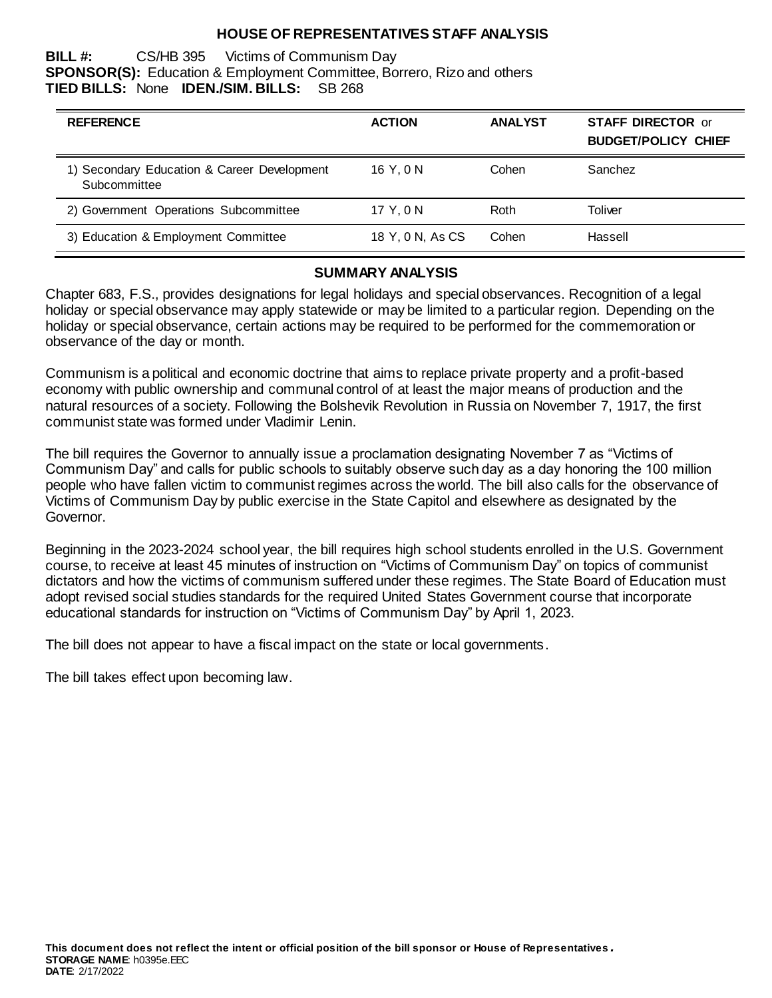## **HOUSE OF REPRESENTATIVES STAFF ANALYSIS**

**BILL #:** CS/HB 395 Victims of Communism Day **SPONSOR(S):** Education & Employment Committee, Borrero, Rizo and others **TIED BILLS:** None **IDEN./SIM. BILLS:** SB 268

| <b>REFERENCE</b>                                            | <b>ACTION</b>    | <b>ANALYST</b> | <b>STAFF DIRECTOR or</b><br><b>BUDGET/POLICY CHIEF</b> |
|-------------------------------------------------------------|------------------|----------------|--------------------------------------------------------|
| 1) Secondary Education & Career Development<br>Subcommittee | 16 Y.ON          | Cohen          | Sanchez                                                |
| 2) Government Operations Subcommittee                       | 17 Y.ON          | Roth           | Toliver                                                |
| 3) Education & Employment Committee                         | 18 Y, 0 N, As CS | Cohen          | Hassell                                                |

## **SUMMARY ANALYSIS**

Chapter 683, F.S., provides designations for legal holidays and special observances. Recognition of a legal holiday or special observance may apply statewide or may be limited to a particular region. Depending on the holiday or special observance, certain actions may be required to be performed for the commemoration or observance of the day or month.

Communism is a political and economic doctrine that aims to replace private property and a profit-based economy with public ownership and communal control of at least the major means of production and the natural resources of a society. Following the Bolshevik Revolution in Russia on November 7, 1917, the first communist state was formed under Vladimir Lenin.

The bill requires the Governor to annually issue a proclamation designating November 7 as "Victims of Communism Day" and calls for public schools to suitably observe such day as a day honoring the 100 million people who have fallen victim to communist regimes across the world. The bill also calls for the observance of Victims of Communism Day by public exercise in the State Capitol and elsewhere as designated by the Governor.

Beginning in the 2023-2024 school year, the bill requires high school students enrolled in the U.S. Government course, to receive at least 45 minutes of instruction on "Victims of Communism Day" on topics of communist dictators and how the victims of communism suffered under these regimes. The State Board of Education must adopt revised social studies standards for the required United States Government course that incorporate educational standards for instruction on "Victims of Communism Day" by April 1, 2023.

The bill does not appear to have a fiscal impact on the state or local governments.

The bill takes effect upon becoming law.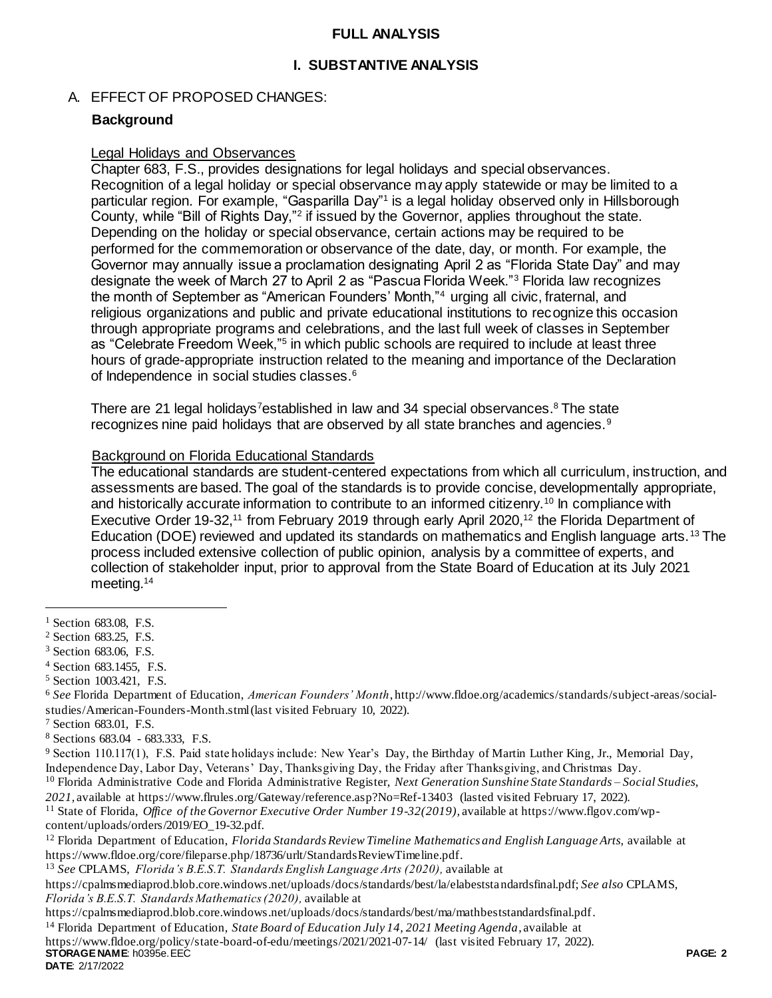## **FULL ANALYSIS**

## **I. SUBSTANTIVE ANALYSIS**

## A. EFFECT OF PROPOSED CHANGES:

## **Background**

#### Legal Holidays and Observances

Chapter 683, F.S., provides designations for legal holidays and special observances. Recognition of a legal holiday or special observance may apply statewide or may be limited to a particular region. For example, "Gasparilla Day"<sup>1</sup> is a legal holiday observed only in Hillsborough County, while "Bill of Rights Day,"<sup>2</sup> if issued by the Governor, applies throughout the state. Depending on the holiday or special observance, certain actions may be required to be performed for the commemoration or observance of the date, day, or month. For example, the Governor may annually issue a proclamation designating April 2 as "Florida State Day" and may designate the week of March 27 to April 2 as "Pascua Florida Week."<sup>3</sup> Florida law recognizes the month of September as "American Founders' Month,"<sup>4</sup> urging all civic, fraternal, and religious organizations and public and private educational institutions to recognize this occasion through appropriate programs and celebrations, and the last full week of classes in September as "Celebrate Freedom Week,"<sup>5</sup> in which public schools are required to include at least three hours of grade-appropriate instruction related to the meaning and importance of the Declaration of Independence in social studies classes.<sup>6</sup>

There are 21 legal holidays<sup>7</sup>established in law and 34 special observances.<sup>8</sup> The state recognizes nine paid holidays that are observed by all state branches and agencies.<sup>9</sup>

### Background on Florida Educational Standards

The educational standards are student-centered expectations from which all curriculum, instruction, and assessments are based. The goal of the standards is to provide concise, developmentally appropriate, and historically accurate information to contribute to an informed citizenry.<sup>10</sup> In compliance with Executive Order 19-32,<sup>11</sup> from February 2019 through early April 2020,<sup>12</sup> the Florida Department of Education (DOE) reviewed and updated its standards on mathematics and English language arts.<sup>13</sup> The process included extensive collection of public opinion, analysis by a committee of experts, and collection of stakeholder input, prior to approval from the State Board of Education at its July 2021 meeting.<sup>14</sup>

 $\overline{a}$ 

<sup>3</sup> Section 683.06, F.S.

**STORAGE NAME**: h0395e.EEC **PAGE: 2** https://www.fldoe.org/policy/state-board-of-edu/meetings/2021/2021-07-14/ (last visited February 17, 2022).

<sup>&</sup>lt;sup>1</sup> Section 683.08, F.S.

<sup>2</sup> Section 683.25, F.S.

<sup>4</sup> Section 683.1455, F.S.

<sup>5</sup> Section 1003.421, F.S.

<sup>6</sup> *See* Florida Department of Education, *American Founders' Month*, http://www.fldoe.org/academics/standards/subject-areas/socialstudies/American-Founders-Month.stml (last visited February 10, 2022).

<sup>7</sup> Section 683.01, F.S.

<sup>8</sup> Sections 683.04 - 683.333, F.S.

<sup>9</sup> Section 110.117(1), F.S. Paid state holidays include: New Year's Day, the Birthday of Martin Luther King, Jr., Memorial Day, Independence Day, Labor Day, Veterans' Day, Thanksgiving Day, the Friday after Thanksgiving, and Christmas Day.

<sup>10</sup> Florida Administrative Code and Florida Administrative Register, *Next Generation Sunshine State Standards – Social Studies, 2021,* available at<https://www.flrules.org/Gateway/reference.asp?No=Ref-13403> (lasted visited February 17, 2022).

<sup>11</sup> State of Florida, *Office of the Governor Executive Order Number 19-32(2019),* available at https://www.flgov.com/wpcontent/uploads/orders/2019/EO\_19-32.pdf.

<sup>12</sup> Florida Department of Education, *Florida Standards Review Timeline Mathematics and English Language Arts,* available at https://www.fldoe.org/core/fileparse.php/18736/urlt/StandardsReviewTimeline.pdf.

<sup>13</sup> *See* CPLAMS, *Florida's B.E.S.T. Standards English Language Arts (2020),* available at

https://cpalmsmediaprod.blob.core.windows.net/uploads/docs/standards/best/la/elabeststandardsfinal.pdf; *See also* CPLAMS, *Florida's B.E.S.T. Standards Mathematics (2020),* available at

https://cpalmsmediaprod.blob.core.windows.net/uploads/docs/standards/best/ma/mathbeststandardsfinal.pdf.

<sup>14</sup> Florida Department of Education, *State Board of Education July 14, 2021 Meeting Agenda*, available at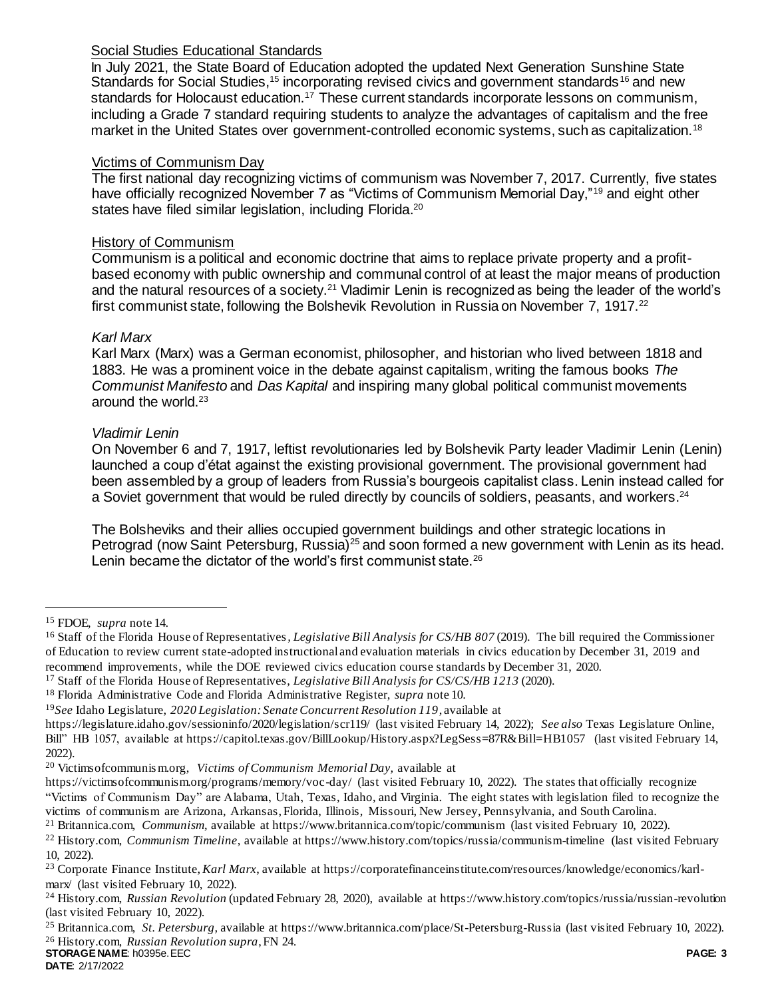## Social Studies Educational Standards

In July 2021, the State Board of Education adopted the updated Next Generation Sunshine State Standards for Social Studies,<sup>15</sup> incorporating revised civics and government standards<sup>16</sup> and new standards for Holocaust education.<sup>17</sup> These current standards incorporate lessons on communism, including a Grade 7 standard requiring students to analyze the advantages of capitalism and the free market in the United States over government-controlled economic systems, such as capitalization.<sup>18</sup>

## Victims of Communism Day

The first national day recognizing victims of communism was November 7, 2017. Currently, five states have officially recognized November 7 as "Victims of Communism Memorial Day,"<sup>19</sup> and eight other states have filed similar legislation, including Florida.<sup>20</sup>

#### History of Communism

Communism is a political and economic doctrine that aims to replace private property and a profitbased economy with public ownership and communal control of at least the major means of production and the natural resources of a society.<sup>21</sup> Vladimir Lenin is recognized as being the leader of the world's first communist state, following the Bolshevik Revolution in Russia on November 7, 1917.<sup>22</sup>

### *Karl Marx*

Karl Marx (Marx) was a German economist, philosopher, and historian who lived between 1818 and 1883. He was a prominent voice in the debate against capitalism, writing the famous books *The Communist Manifesto* and *Das Kapital* and inspiring many global political communist movements around the world.<sup>23</sup>

### *Vladimir Lenin*

On November 6 and 7, 1917, leftist revolutionaries led by Bolshevik Party leader Vladimir Lenin (Lenin) launched a coup d'état against the existing provisional government. The provisional government had been assembled by a group of leaders from Russia's bourgeois capitalist class. Lenin instead called for a Soviet government that would be ruled directly by councils of soldiers, peasants, and workers.<sup>24</sup>

<span id="page-2-0"></span>The Bolsheviks and their allies occupied government buildings and other strategic locations in Petrograd (now Saint Petersburg, Russia)<sup>25</sup> and soon formed a new government with Lenin as its head. Lenin became the dictator of the world's first communist state.<sup>26</sup>

 $\overline{a}$ 

<sup>15</sup> FDOE, *supra* note 14.

<sup>&</sup>lt;sup>16</sup> Staff of the Florida House of Representatives, *Legislative Bill Analysis for CS/HB 807* (2019). The bill required the Commissioner of Education to review current state-adopted instructional and evaluation materials in civics education by December 31, 2019 and recommend improvements, while the DOE reviewed civics education course standards by December 31, 2020.

<sup>17</sup> Staff of the Florida House of Representatives, *Legislative Bill Analysis for CS/CS/HB 1213* (2020).

<sup>18</sup> Florida Administrative Code and Florida Administrative Register, *supra* note 10.

<sup>19</sup>*See* Idaho Legislature, *2020 Legislation: Senate Concurrent Resolution 119*, available at

<https://legislature.idaho.gov/sessioninfo/2020/legislation/scr119/> (last visited February 14, 2022); *See also* Texas Legislature Online, Bill" HB 1057, available a[t https://capitol.texas.gov/BillLookup/History.aspx?LegSess=87R&Bill=HB1057](https://capitol.texas.gov/BillLookup/History.aspx?LegSess=87R&Bill=HB1057) (last visited February 14, 2022).

<sup>20</sup> Victimsofcommunis m.org, *Victims of Communism Memorial Day,* available at

https://victimsofcommunism.org/programs/memory/voc-day/ (last visited February 10, 2022). The states that officially recognize "Victims of Communism Day" are Alabama, Utah, Texas, Idaho, and Virginia. The eight states with legislation filed to recognize the victims of communism are Arizona, Arkansas, Florida, Illinois, Missouri, New Jersey, Pennsylvania, and South Carolina.

<sup>21</sup> Britannica.com, *Communism*, available at https://www.britannica.com/topic/communism (last visited February 10, 2022).

<sup>22</sup> History.com, *Communism Timeline*, available at https://www.history.com/topics/russia/communism-timeline (last visited February 10, 2022).

<sup>23</sup> Corporate Finance Institute, *Karl Marx*, available at https://corporatefinanceinstitute.com/resources/knowledge/economics/karlmarx/ (last visited February 10, 2022).

<sup>24</sup> History.com, *Russian Revolution* (updated February 28, 2020), available at https://www.history.com/topics/russia/russian-revolution (last visited February 10, 2022).

**STORAGE NAME**: h0395e.EEC **PAGE: 3** <sup>25</sup> Britannica.com, *St. Petersburg,* available at https://www.britannica.com/place/St-Petersburg-Russia (last visited February 10, 2022). <sup>26</sup> History.com, *Russian Revolution supra*, F[N 24.](#page-2-0)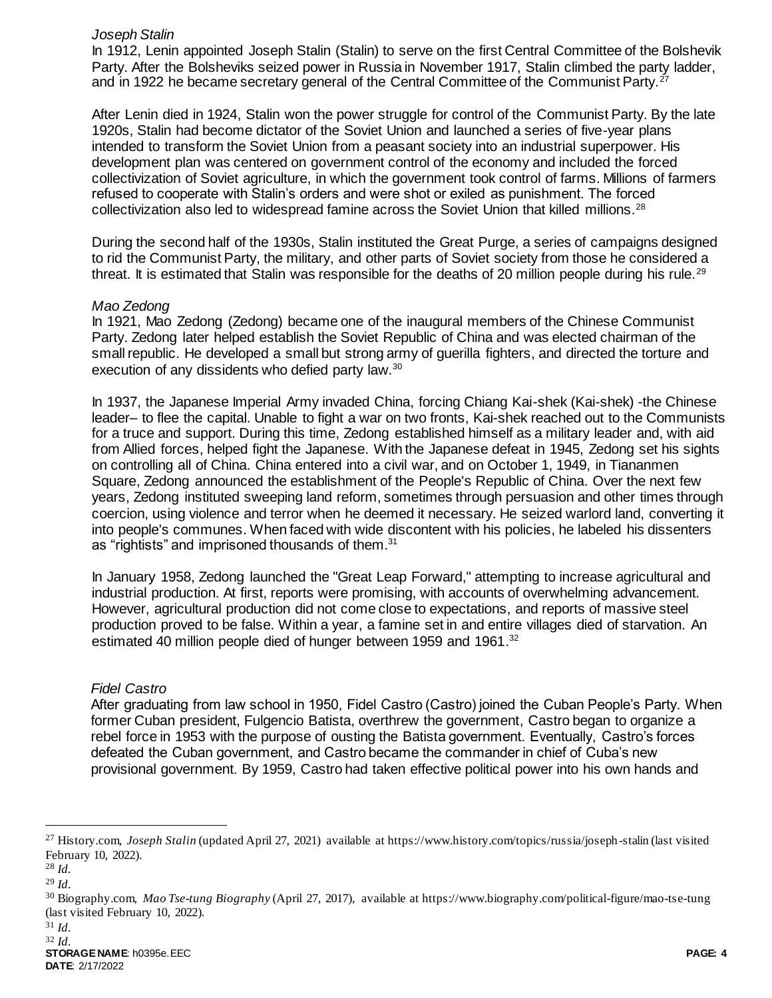#### *Joseph Stalin*

In 1912, Lenin appointed Joseph Stalin (Stalin) to serve on the first Central Committee of the Bolshevik Party. After the Bolsheviks seized power in Russia in November 1917, Stalin climbed the party ladder, and in 1922 he became secretary general of the Central Committee of the Communist Party.<sup>27</sup>

After Lenin died in 1924, Stalin won the power struggle for control of the Communist Party. By the late 1920s, Stalin had become dictator of the Soviet Union and launched a series of five-year plans intended to transform the Soviet Union from a peasant society into an industrial superpower. His development plan was centered on government control of the economy and included the forced collectivization of Soviet agriculture, in which the government took control of farms. Millions of farmers refused to cooperate with Stalin's orders and were shot or exiled as punishment. The forced collectivization also led to widespread famine across the Soviet Union that killed millions.<sup>28</sup>

During the second half of the 1930s, Stalin instituted the Great Purge, a series of campaigns designed to rid the Communist Party, the military, and other parts of Soviet society from those he considered a threat. It is estimated that Stalin was responsible for the deaths of 20 million people during his rule.<sup>29</sup>

### *Mao Zedong*

In 1921, Mao Zedong (Zedong) became one of the inaugural members of the Chinese Communist Party. Zedong later helped establish the Soviet Republic of China and was elected chairman of the small republic. He developed a small but strong army of guerilla fighters, and directed the torture and execution of any dissidents who defied party law.<sup>30</sup>

In 1937, the Japanese Imperial Army invaded China, forcing Chiang Kai-shek (Kai-shek) -the Chinese leader– to flee the capital. Unable to fight a war on two fronts, Kai-shek reached out to the Communists for a truce and support. During this time, Zedong established himself as a military leader and, with aid from Allied forces, helped fight the Japanese. With the Japanese defeat in 1945, Zedong set his sights on controlling all of China. China entered into a civil war, and on October 1, 1949, in Tiananmen Square, Zedong announced the establishment of the People's Republic of China. Over the next few years, Zedong instituted sweeping land reform, sometimes through persuasion and other times through coercion, using violence and terror when he deemed it necessary. He seized warlord land, converting it into people's communes. When faced with wide discontent with his policies, he labeled his dissenters as "rightists" and imprisoned thousands of them.<sup>31</sup>

In January 1958, Zedong launched the "Great Leap Forward," attempting to increase agricultural and industrial production. At first, reports were promising, with accounts of overwhelming advancement. However, agricultural production did not come close to expectations, and reports of massive steel production proved to be false. Within a year, a famine set in and entire villages died of starvation. An estimated 40 million people died of hunger between 1959 and 1961.<sup>32</sup>

## *Fidel Castro*

After graduating from law school in 1950, Fidel Castro (Castro) joined the Cuban People's Party. When former Cuban president, Fulgencio Batista, overthrew the government, Castro began to organize a rebel force in 1953 with the purpose of ousting the Batista government. Eventually, Castro's forces defeated the Cuban government, and Castro became the commander in chief of Cuba's new provisional government. By 1959, Castro had taken effective political power into his own hands and

l

<sup>27</sup> History.com, *Joseph Stalin* (updated April 27, 2021) available at https://www.history.com/topics/russia/joseph-stalin (last visited February 10, 2022).

<sup>28</sup> *Id.*

<sup>29</sup> *Id.* 

<sup>30</sup> Biography.com, *Mao Tse-tung Biography* (April 27, 2017), available at https://www.biography.com/political-figure/mao-tse-tung (last visited February 10, 2022).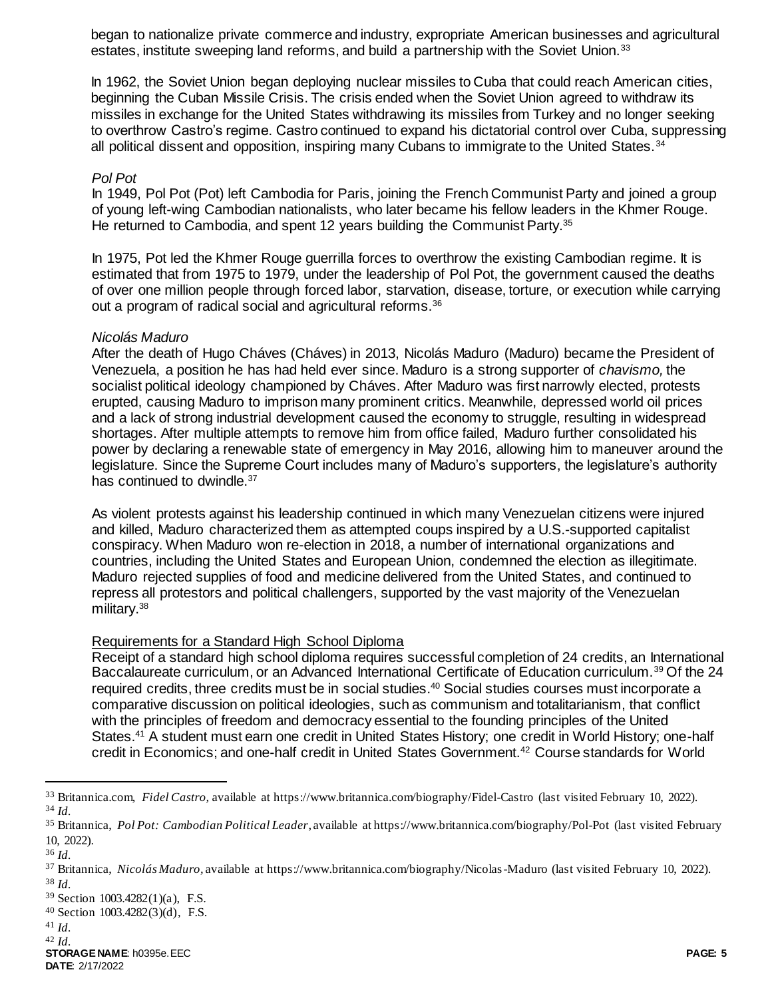began to nationalize private commerce and industry, expropriate American businesses and agricultural estates, institute sweeping land reforms, and build a partnership with the Soviet Union.<sup>33</sup>

In 1962, the Soviet Union began deploying nuclear missiles to Cuba that could reach American cities, beginning the Cuban Missile Crisis. The crisis ended when the Soviet Union agreed to withdraw its missiles in exchange for the United States withdrawing its missiles from Turkey and no longer seeking to overthrow Castro's regime. Castro continued to expand his dictatorial control over Cuba, suppressing all political dissent and opposition, inspiring many Cubans to immigrate to the United States.<sup>34</sup>

#### *Pol Pot*

In 1949, Pol Pot (Pot) left Cambodia for Paris, joining the French Communist Party and joined a group of young left-wing Cambodian nationalists, who later became his fellow leaders in the Khmer Rouge. He returned to Cambodia, and spent 12 years building the Communist Party.<sup>35</sup>

In 1975, Pot led the Khmer Rouge guerrilla forces to overthrow the existing Cambodian regime. It is estimated that from 1975 to 1979, under the leadership of Pol Pot, the government caused the deaths of over one million people through forced labor, starvation, disease, torture, or execution while carrying out a program of radical social and agricultural reforms.<sup>36</sup>

#### *Nicolás Maduro*

After the death of Hugo Cháves (Cháves) in 2013, Nicolás Maduro (Maduro) became the President of Venezuela, a position he has had held ever since. Maduro is a strong supporter of *chavismo,* the socialist political ideology championed by Cháves. After Maduro was first narrowly elected, protests erupted, causing Maduro to imprison many prominent critics. Meanwhile, depressed world oil prices and a lack of strong industrial development caused the economy to struggle, resulting in widespread shortages. After multiple attempts to remove him from office failed, Maduro further consolidated his power by declaring a renewable state of emergency in May 2016, allowing him to maneuver around the legislature. Since the Supreme Court includes many of Maduro's supporters, the legislature's authority has continued to dwindle.<sup>37</sup>

As violent protests against his leadership continued in which many Venezuelan citizens were injured and killed, Maduro characterized them as attempted coups inspired by a U.S.-supported capitalist conspiracy. When Maduro won re-election in 2018, a number of international organizations and countries, including the United States and European Union, condemned the election as illegitimate. Maduro rejected supplies of food and medicine delivered from the United States, and continued to repress all protestors and political challengers, supported by the vast majority of the Venezuelan military.<sup>38</sup>

#### Requirements for a Standard High School Diploma

Receipt of a standard high school diploma requires successful completion of 24 credits, an International Baccalaureate curriculum, or an Advanced International Certificate of Education curriculum.<sup>39</sup> Of the 24 required credits, three credits must be in social studies.<sup>40</sup> Social studies courses must incorporate a comparative discussion on political ideologies, such as communism and totalitarianism, that conflict with the principles of freedom and democracy essential to the founding principles of the United States.<sup>41</sup> A student must earn one credit in United States History; one credit in World History; one-half credit in Economics; and one-half credit in United States Government.<sup>42</sup> Course standards for World

l

<sup>41</sup> *Id.*

<sup>33</sup> Britannica.com, *Fidel Castro,* available at https://www.britannica.com/biography/Fidel-Castro (last visited February 10, 2022). <sup>34</sup> *Id.*

<sup>35</sup> Britannica, *Pol Pot: Cambodian Political Leader*, available at https://www.britannica.com/biography/Pol-Pot (last visited February 10, 2022).

<sup>36</sup> *Id.*

<sup>37</sup> Britannica, *Nicolás Maduro,* available at https://www.britannica.com/biography/Nicolas-Maduro (last visited February 10, 2022). <sup>38</sup> *Id.*

<sup>39</sup> Section 1003.4282(1)(a), F.S.

<sup>40</sup> Section 1003.4282(3)(d), F.S.

<sup>42</sup> *Id.*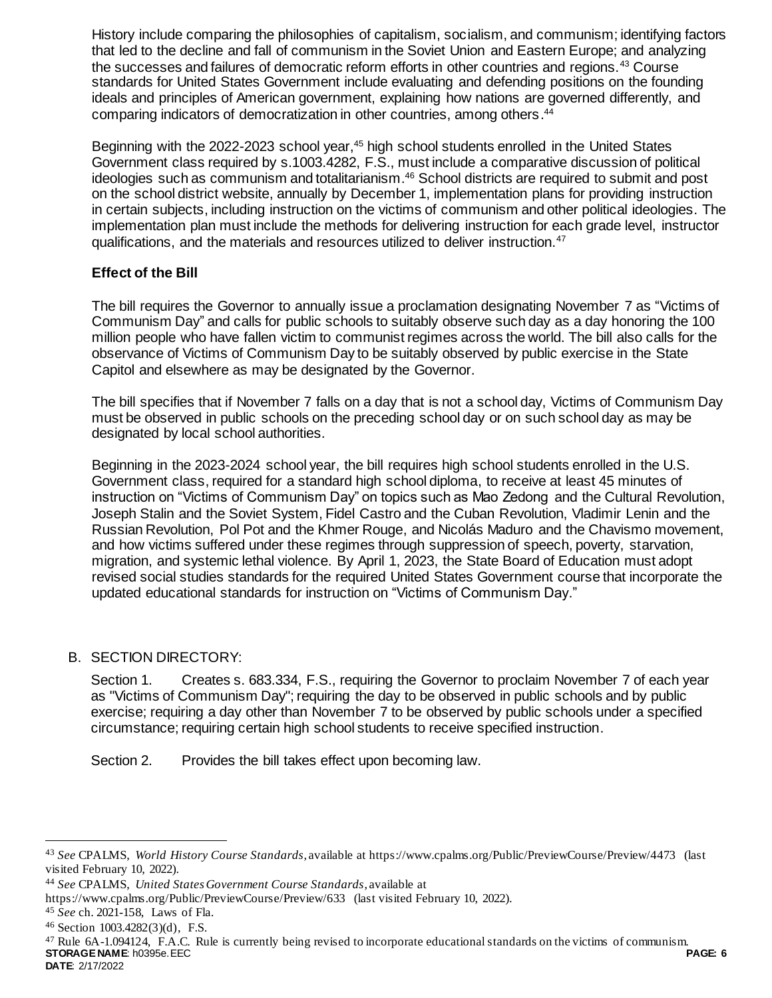History include comparing the philosophies of capitalism, socialism, and communism; identifying factors that led to the decline and fall of communism in the Soviet Union and Eastern Europe; and analyzing the successes and failures of democratic reform efforts in other countries and regions.<sup>43</sup> Course standards for United States Government include evaluating and defending positions on the founding ideals and principles of American government, explaining how nations are governed differently, and comparing indicators of democratization in other countries, among others. 44

Beginning with the 2022-2023 school year,<sup>45</sup> high school students enrolled in the United States Government class required by s.1003.4282, F.S., must include a comparative discussion of political ideologies such as communism and totalitarianism. <sup>46</sup> School districts are required to submit and post on the school district website, annually by December 1, implementation plans for providing instruction in certain subjects, including instruction on the victims of communism and other political ideologies. The implementation plan must include the methods for delivering instruction for each grade level, instructor qualifications, and the materials and resources utilized to deliver instruction.<sup>47</sup>

## **Effect of the Bill**

The bill requires the Governor to annually issue a proclamation designating November 7 as "Victims of Communism Day" and calls for public schools to suitably observe such day as a day honoring the 100 million people who have fallen victim to communist regimes across the world. The bill also calls for the observance of Victims of Communism Day to be suitably observed by public exercise in the State Capitol and elsewhere as may be designated by the Governor.

The bill specifies that if November 7 falls on a day that is not a school day, Victims of Communism Day must be observed in public schools on the preceding school day or on such school day as may be designated by local school authorities.

Beginning in the 2023-2024 school year, the bill requires high school students enrolled in the U.S. Government class, required for a standard high school diploma, to receive at least 45 minutes of instruction on "Victims of Communism Day" on topics such as Mao Zedong and the Cultural Revolution, Joseph Stalin and the Soviet System, Fidel Castro and the Cuban Revolution, Vladimir Lenin and the Russian Revolution, Pol Pot and the Khmer Rouge, and Nicolás Maduro and the Chavismo movement, and how victims suffered under these regimes through suppression of speech, poverty, starvation, migration, and systemic lethal violence. By April 1, 2023, the State Board of Education must adopt revised social studies standards for the required United States Government course that incorporate the updated educational standards for instruction on "Victims of Communism Day."

## B. SECTION DIRECTORY:

Section 1. Creates s. 683.334, F.S., requiring the Governor to proclaim November 7 of each year as "Victims of Communism Day"; requiring the day to be observed in public schools and by public exercise; requiring a day other than November 7 to be observed by public schools under a specified circumstance; requiring certain high school students to receive specified instruction.

Section 2. Provides the bill takes effect upon becoming law.

l

<sup>43</sup> *See* CPALMS, *World History Course Standards*, available at https://www.cpalms.org/Public/PreviewCourse/Preview/4473 (last visited February 10, 2022).

<sup>44</sup> *See* CPALMS, *United States Government Course Standards*, available at

https://www.cpalms.org/Public/PreviewCourse/Preview/633 (last visited February 10, 2022).

<sup>45</sup> *See* ch. 2021-158, Laws of Fla.

<sup>46</sup> Section 1003.4282(3)(d), F.S.

**STORAGE NAME**: h0395e.EEC **PAGE: 6 DATE**: 2/17/2022 <sup>47</sup> Rule 6A-1.094124, F.A.C. Rule is currently being revised to incorporate educational standards on the victims of communism.